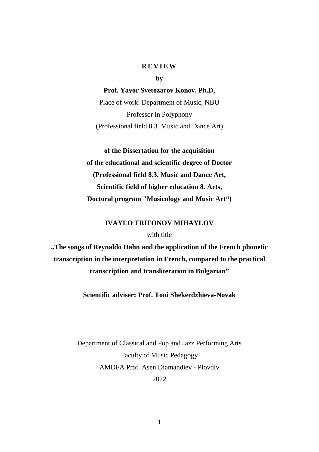## **REVIEW**

**by**

**Prof. Yavor Svetozarov Konov, Ph.D,** Place of work: Department of Music, NBU Professor in Polyphony

(Professional field 8.3. Music and Dance Art)

**of the Dissertation for the acquisition of the educational and scientific degree of Doctor (Professional field 8.3. Music and Dance Art, Scientific field of higher education 8. Arts, Doctoral program "Musicology and Music Art")**

# **IVAYLO TRIFONOV MIHAYLOV**

## with title

**"The songs of Reynaldo Hahn and the application of the French phonetic transcription in the interpretation in French, compared to the practical transcription and transliteration in Bulgarian"**

**Scientific adviser: Prof. Toni Shekerdzhieva-Novak**

Department of Classical and Pop and Jazz Performing Arts Faculty of Music Pedagogy AMDFA Prof. Asen Diamandiev - Plovdiv 2022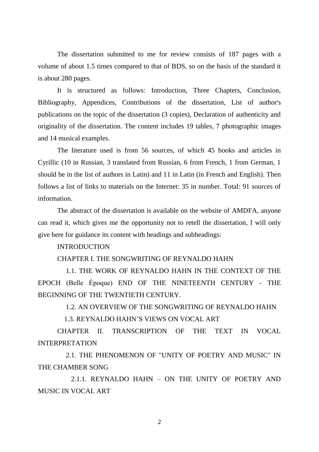The dissertation submitted to me for review consists of 187 pages with a volume of about 1.5 times compared to that of BDS, so on the basis of the standard it is about 280 pages.

It is structured as follows: Introduction, Three Chapters, Conclusion, Bibliography, Appendices, Contributions of the dissertation, List of author's publications on the topic of the dissertation (3 copies), Declaration of authenticity and originality of the dissertation. The content includes 19 tables, 7 photographic images and 14 musical examples.

The literature used is from 56 sources, of which 45 books and articles in Cyrillic (10 in Russian, 3 translated from Russian, 6 from French, 1 from German, 1 should be in the list of authors in Latin) and 11 in Latin (in French and English). Then follows a list of links to materials on the Internet: 35 in number. Total: 91 sources of information.

The abstract of the dissertation is available on the website of AMDFA, anyone can read it, which gives me the opportunity not to retell the dissertation, I will only give here for guidance its content with headings and subheadings:

# INTRODUCTION

# CHAPTER I. THE SONGWRITING OF REYNALDO HAHN

 1.1. THE WORK OF REYNALDO HAHN IN THE CONTEXT OF THE EPOCH (Belle Époque) END OF THE NINETEENTH CENTURY - THE BEGINNING OF THE TWENTIETH CENTURY.

1.2. AN OVERVIEW OF THE SONGWRITING OF REYNALDO HAHN

1.3. REYNALDO HAHN'S VIEWS ON VOCAL ART

CHAPTER II. TRANSCRIPTION OF THE TEXT IN VOCAL INTERPRETATION

 2.1. THE PHENOMENON OF "UNITY OF POETRY AND MUSIC" IN THE CHAMBER SONG

 2.1.1. REYNALDO HAHN – ON THE UNITY OF POETRY AND MUSIC IN VOCAL ART

2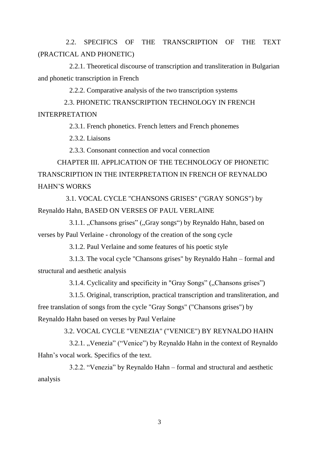2.2. SPECIFICS OF THE TRANSCRIPTION OF THE TEXT (PRACTICAL AND PHONETIC)

 2.2.1. Theoretical discourse of transcription and transliteration in Bulgarian and phonetic transcription in French

2.2.2. Comparative analysis of the two transcription systems

 2.3. PHONETIC TRANSCRIPTION TECHNOLOGY IN FRENCH INTERPRETATION

2.3.1. French phonetics. French letters and French phonemes

2.3.2. Liaisons

2.3.3. Consonant connection and vocal connection

CHAPTER III. APPLICATION OF THE TECHNOLOGY OF PHONETIC TRANSCRIPTION IN THE INTERPRETATION IN FRENCH OF REYNALDO HAHN'S WORKS

 3.1. VOCAL CYCLE "CHANSONS GRISES" ("GRAY SONGS") by Reynaldo Hahn, BASED ON VERSES OF PAUL VERLAINE

3.1.1. "Chansons grises" ("Gray songs") by Reynaldo Hahn, based on verses by Paul Verlaine - chronology of the creation of the song cycle

3.1.2. Paul Verlaine and some features of his poetic style

 3.1.3. The vocal cycle "Chansons grises" by Reynaldo Hahn – formal and structural and aesthetic analysis

3.1.4. Cyclicality and specificity in "Gray Songs" ("Chansons grises")

 3.1.5. Original, transcription, practical transcription and transliteration, and free translation of songs from the cycle "Gray Songs" ("Chansons grises") by Reynaldo Hahn based on verses by Paul Verlaine

3.2. VOCAL CYCLE "VENEZIA" ("VENICE") BY REYNALDO HAHN

3.2.1. "Venezia" ("Venice") by Reynaldo Hahn in the context of Reynaldo Hahn's vocal work. Specifics of the text.

 3.2.2. "Venezia" by Reynaldo Hahn – formal and structural and aesthetic analysis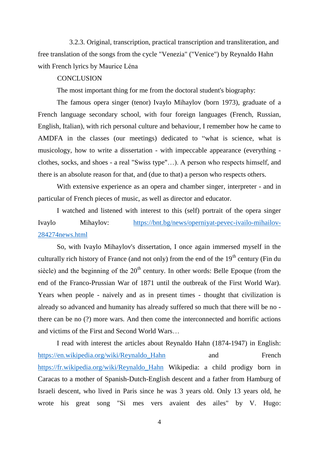3.2.3. Original, transcription, practical transcription and transliteration, and free translation of the songs from the cycle "Venezia" ("Venice") by Reynaldo Hahn with French lyrics by Maurice Léna

## **CONCLUSION**

The most important thing for me from the doctoral student's biography:

The famous opera singer (tenor) Ivaylo Mihaylov (born 1973), graduate of a French language secondary school, with four foreign languages (French, Russian, English, Italian), with rich personal culture and behaviour, I remember how he came to AMDFA in the classes (our meetings) dedicated to "what is science, what is musicology, how to write a dissertation - with impeccable appearance (everything clothes, socks, and shoes - a real "Swiss type"…). A person who respects himself, and there is an absolute reason for that, and (due to that) a person who respects others.

With extensive experience as an opera and chamber singer, interpreter - and in particular of French pieces of music, as well as director and educator.

I watched and listened with interest to this (self) portrait of the opera singer Ivaylo Mihaylov: [https://bnt.bg/news/operniyat-pevec-ivailo-mihailov-](https://bnt.bg/news/operniyat-pevec-ivailo-mihailov-284274news.html)[284274news.html](https://bnt.bg/news/operniyat-pevec-ivailo-mihailov-284274news.html)

So, with Ivaylo Mihaylov's dissertation, I once again immersed myself in the culturally rich history of France (and not only) from the end of the  $19<sup>th</sup>$  century (Fin du siècle) and the beginning of the  $20<sup>th</sup>$  century. In other words: Belle Epoque (from the end of the Franco-Prussian War of 1871 until the outbreak of the First World War). Years when people - naively and as in present times - thought that civilization is already so advanced and humanity has already suffered so much that there will be no there can be no (?) more wars. And then come the interconnected and horrific actions and victims of the First and Second World Wars…

I read with interest the articles about Reynaldo Hahn (1874-1947) in English: https://en.wikipedia.org/wiki/Reynaldo Hahn and French [https://fr.wikipedia.org/wiki/Reynaldo\\_Hahn](https://fr.wikipedia.org/wiki/Reynaldo_Hahn) Wikipedia: a child prodigy born in Caracas to a mother of Spanish-Dutch-English descent and a father from Hamburg of Israeli descent, who lived in Paris since he was 3 years old. Only 13 years old, he wrote his great song "Si mes vers avaient des ailes" by V. Hugo: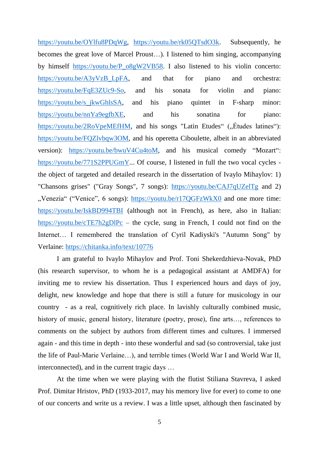[https://youtu.be/OYlfu8PDqWg,](https://youtu.be/OYlfu8PDqWg) [https://youtu.be/rk05QTsdO3k.](https://youtu.be/rk05QTsdO3k) Subsequently, he becomes the great love of Marcel Proust…). I listened to him singing, accompanying by himself [https://youtu.be/P\\_o8gW2VB58.](https://youtu.be/P_o8gW2VB58) I also listened to his violin concerto: [https://youtu.be/A3yVzB\\_LpFA,](https://youtu.be/A3yVzB_LpFA) and that for piano and orchestra: [https://youtu.be/FqE3ZUc9-So,](https://youtu.be/FqE3ZUc9-So) and his sonata for violin and piano: [https://youtu.be/s\\_jkwGhlsSA,](https://youtu.be/s_jkwGhlsSA) and his piano quintet in F-sharp minor: [https://youtu.be/nnYa9egfbXE,](https://youtu.be/nnYa9egfbXE) and his sonatina for piano: [https://youtu.be/2RoVpeMEfHM,](https://youtu.be/2RoVpeMEfHM) and his songs "Latin Etudes"  $($ , Études latines"): [https://youtu.be/FQZlvbqw3OM,](https://youtu.be/FQZlvbqw3OM) and his operetta Ciboulette, albeit in an abbreviated version): [https://youtu.be/bwuV4Cu4toM,](https://youtu.be/bwuV4Cu4toM) and his musical comedy "Mozart": [https://youtu.be/771S2PPUGmY.](https://youtu.be/771S2PPUGmY).. Of course, I listened in full the two vocal cycles the object of targeted and detailed research in the dissertation of Ivaylo Mihaylov: 1) "Chansons grises" ("Gray Songs", 7 songs): <https://youtu.be/CAJ7qUZelTg> and 2) ..Venezia" ("Venice", 6 songs):<https://youtu.be/r17QGFzWkX0> and one more time: <https://youtu.be/IskBD994TBI> (although not in French), as here, also in Italian: <https://youtu.be/cTE7h2gDlPc> – the cycle, sung in French, I could not find on the Internet... I remembered the translation of Cyril Kadiyski's "Autumn Song" by Verlaine:<https://chitanka.info/text/10776>

I am grateful to Ivaylo Mihaylov and Prof. Toni Shekerdzhieva-Novak, PhD (his research supervisor, to whom he is a pedagogical assistant at AMDFA) for inviting me to review his dissertation. Thus I experienced hours and days of joy, delight, new knowledge and hope that there is still a future for musicology in our country - as a real, cognitively rich place. In lavishly culturally combined music, history of music, general history, literature (poetry, prose), fine arts…, references to comments on the subject by authors from different times and cultures. I immersed again - and this time in depth - into these wonderful and sad (so controversial, take just the life of Paul-Marie Verlaine…), and terrible times (World War I and World War II, interconnected), and in the current tragic days …

At the time when we were playing with the flutist Stiliana Stavreva, I asked Prof. Dimitar Hristov, PhD (1933-2017, may his memory live for ever) to come to one of our concerts and write us a review. I was a little upset, although then fascinated by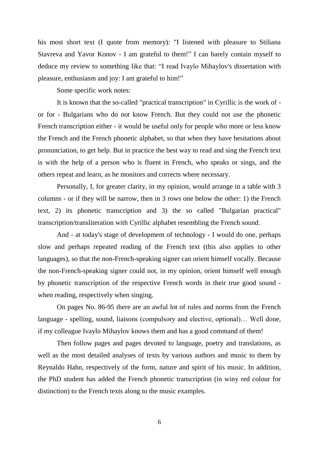his most short text (I quote from memory): "I listened with pleasure to Stiliana Stavreva and Yavor Konov - I am grateful to them!" I can barely contain myself to deduce my review to something like that: "I read Ivaylo Mihaylov's dissertation with pleasure, enthusiasm and joy: I am grateful to him!"

Some specific work notes:

It is known that the so-called "practical transcription" in Cyrillic is the work of or for - Bulgarians who do not know French. But they could not use the phonetic French transcription either - it would be useful only for people who more or less know the French and the French phonetic alphabet, so that when they have hesitations about pronunciation, to get help. But in practice the best way to read and sing the French text is with the help of a person who is fluent in French, who speaks or sings, and the others repeat and learn, as he monitors and corrects where necessary.

Personally, I, for greater clarity, in my opinion, would arrange in a table with 3 columns - or if they will be narrow, then in 3 rows one below the other: 1) the French text, 2) its phonetic transcription and 3) the so called "Bulgarian practical" transcription/transliteration with Cyrillic alphabet resembling the French sound.

And - at today's stage of development of technology - I would do one, perhaps slow and perhaps repeated reading of the French text (this also applies to other languages), so that the non-French-speaking signer can orient himself vocally. Because the non-French-speaking signer could not, in my opinion, orient himself well enough by phonetic transcription of the respective French words in their true good sound when reading, respectively when singing.

On pages No. 86-95 there are an awful lot of rules and norms from the French language - spelling, sound, liaisons (compulsory and elective, optional)… Well done, if my colleague Ivaylo Mihaylov knows them and has a good command of them!

Then follow pages and pages devoted to language, poetry and translations, as well as the most detailed analyses of texts by various authors and music to them by Reynaldo Hahn, respectively of the form, nature and spirit of his music. In addition, the PhD student has added the French phonetic transcription (in winy red colour for distinction) to the French texts along to the music examples.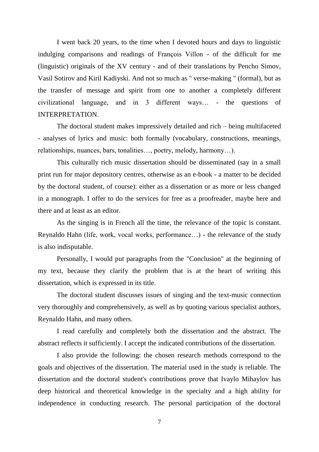I went back 20 years, to the time when I devoted hours and days to linguistic indulging comparisons and readings of François Villon - of the difficult for me (linguistic) originals of the XV century - and of their translations by Pencho Simov, Vasil Sotirov and Kiril Kadiyski. And not so much as " verse-making " (formal), but as the transfer of message and spirit from one to another a completely different civilizational language, and in 3 different ways… - the questions of INTERPRETATION.

The doctoral student makes impressively detailed and rich – being multifaceted - analyses of lyrics and music: both formally (vocabulary, constructions, meanings, relationships, nuances, bars, tonalities…, poetry, melody, harmony…).

This culturally rich music dissertation should be disseminated (say in a small print run for major depository centres, otherwise as an e-book - a matter to be decided by the doctoral student, of course): either as a dissertation or as more or less changed in a monograph. I offer to do the services for free as a proofreader, maybe here and there and at least as an editor.

As the singing is in French all the time, the relevance of the topic is constant. Reynaldo Hahn (life, work, vocal works, performance…) - the relevance of the study is also indisputable.

Personally, I would put paragraphs from the "Conclusion" at the beginning of my text, because they clarify the problem that is at the heart of writing this dissertation, which is expressed in its title.

The doctoral student discusses issues of singing and the text-music connection very thoroughly and comprehensively, as well as by quoting various specialist authors, Reynaldo Hahn, and many others.

I read carefully and completely both the dissertation and the abstract. The abstract reflects it sufficiently. I accept the indicated contributions of the dissertation.

I also provide the following: the chosen research methods correspond to the goals and objectives of the dissertation. The material used in the study is reliable. The dissertation and the doctoral student's contributions prove that Ivaylo Mihaylov has deep historical and theoretical knowledge in the specialty and a high ability for independence in conducting research. The personal participation of the doctoral